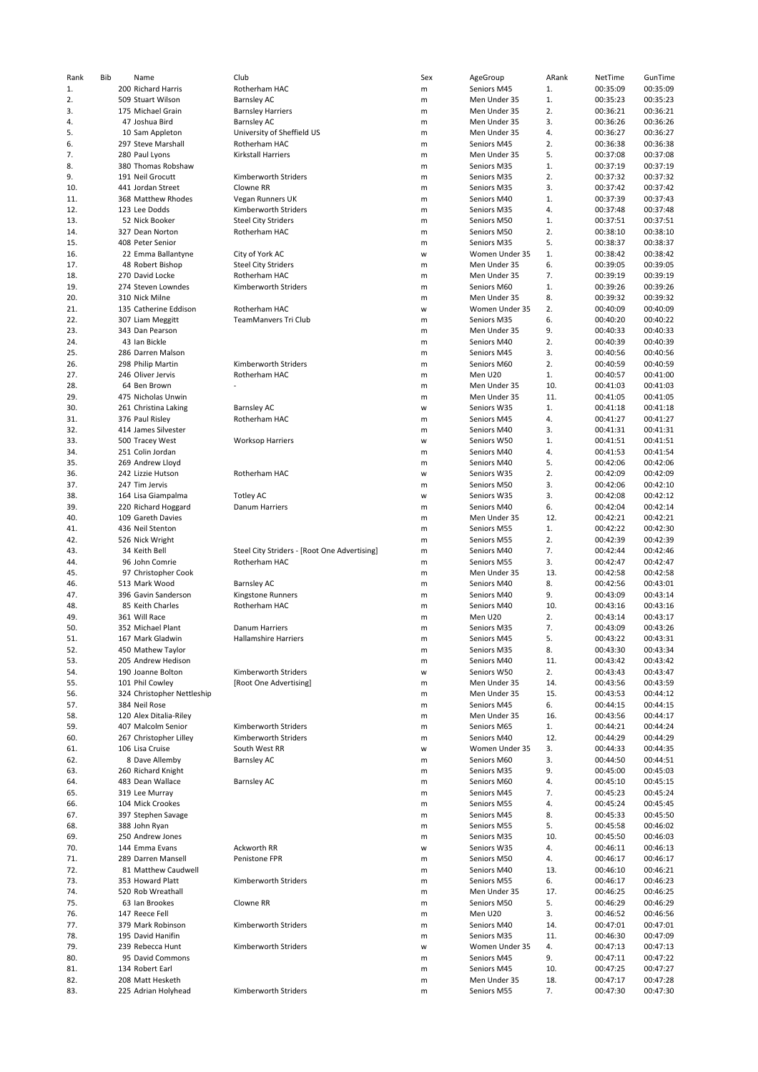| Rank | Bib | Name                               | Club                                         | Sex | AgeGroup       | ARank | NetTime  | GunTime  |
|------|-----|------------------------------------|----------------------------------------------|-----|----------------|-------|----------|----------|
| 1.   |     | 200 Richard Harris                 | Rotherham HAC                                | m   | Seniors M45    | 1.    | 00:35:09 | 00:35:09 |
| 2.   |     | 509 Stuart Wilson                  | <b>Barnsley AC</b>                           | m   | Men Under 35   | 1.    | 00:35:23 | 00:35:23 |
| 3.   |     | 175 Michael Grain                  | <b>Barnsley Harriers</b>                     | m   | Men Under 35   | 2.    | 00:36:21 | 00:36:21 |
| 4.   |     | 47 Joshua Bird                     | <b>Barnsley AC</b>                           | m   | Men Under 35   | 3.    | 00:36:26 | 00:36:26 |
| 5.   |     | 10 Sam Appleton                    | University of Sheffield US                   | m   | Men Under 35   | 4.    | 00:36:27 | 00:36:27 |
| 6.   |     | 297 Steve Marshall                 | Rotherham HAC                                | m   | Seniors M45    | 2.    | 00:36:38 | 00:36:38 |
| 7.   |     | 280 Paul Lyons                     | Kirkstall Harriers                           | m   | Men Under 35   | 5.    | 00:37:08 | 00:37:08 |
| 8.   |     | 380 Thomas Robshaw                 |                                              | m   | Seniors M35    | 1.    | 00:37:19 | 00:37:19 |
| 9.   |     | 191 Neil Grocutt                   | Kimberworth Striders                         | m   | Seniors M35    | 2.    | 00:37:32 | 00:37:32 |
| 10.  |     | 441 Jordan Street                  | Clowne RR                                    | m   | Seniors M35    | 3.    | 00:37:42 | 00:37:42 |
| 11.  |     | 368 Matthew Rhodes                 | Vegan Runners UK                             | m   | Seniors M40    | 1.    | 00:37:39 | 00:37:43 |
| 12.  |     | 123 Lee Dodds                      | Kimberworth Striders                         | m   | Seniors M35    | 4.    | 00:37:48 | 00:37:48 |
| 13.  |     | 52 Nick Booker                     | <b>Steel City Striders</b>                   | m   | Seniors M50    | 1.    | 00:37:51 | 00:37:51 |
| 14.  |     | 327 Dean Norton                    | Rotherham HAC                                | m   | Seniors M50    | 2.    | 00:38:10 | 00:38:10 |
| 15.  |     | 408 Peter Senior                   |                                              | m   | Seniors M35    | 5.    | 00:38:37 | 00:38:37 |
| 16.  |     | 22 Emma Ballantyne                 | City of York AC                              | W   | Women Under 35 | 1.    | 00:38:42 | 00:38:42 |
| 17.  |     | 48 Robert Bishop                   | <b>Steel City Striders</b>                   | m   | Men Under 35   | 6.    | 00:39:05 | 00:39:05 |
| 18.  |     | 270 David Locke                    | Rotherham HAC                                | m   | Men Under 35   | 7.    | 00:39:19 | 00:39:19 |
| 19.  |     | 274 Steven Lowndes                 | Kimberworth Striders                         | m   | Seniors M60    | 1.    | 00:39:26 | 00:39:26 |
| 20.  |     | 310 Nick Milne                     |                                              | m   | Men Under 35   | 8.    | 00:39:32 | 00:39:32 |
| 21.  |     | 135 Catherine Eddison              | Rotherham HAC                                | W   | Women Under 35 | 2.    | 00:40:09 | 00:40:09 |
| 22.  |     |                                    | TeamManvers Tri Club                         |     |                | 6.    |          | 00:40:22 |
|      |     | 307 Liam Meggitt                   |                                              | m   | Seniors M35    |       | 00:40:20 |          |
| 23.  |     | 343 Dan Pearson                    |                                              | m   | Men Under 35   | 9.    | 00:40:33 | 00:40:33 |
| 24.  |     | 43 Ian Bickle                      |                                              | m   | Seniors M40    | 2.    | 00:40:39 | 00:40:39 |
| 25.  |     | 286 Darren Malson                  |                                              | m   | Seniors M45    | 3.    | 00:40:56 | 00:40:56 |
| 26.  |     | 298 Philip Martin                  | Kimberworth Striders                         | m   | Seniors M60    | 2.    | 00:40:59 | 00:40:59 |
| 27.  |     | 246 Oliver Jervis                  | Rotherham HAC                                | m   | Men U20        | 1.    | 00:40:57 | 00:41:00 |
| 28.  |     | 64 Ben Brown                       |                                              | m   | Men Under 35   | 10.   | 00:41:03 | 00:41:03 |
| 29.  |     | 475 Nicholas Unwin                 |                                              | m   | Men Under 35   | 11.   | 00:41:05 | 00:41:05 |
| 30.  |     | 261 Christina Laking               | <b>Barnsley AC</b>                           | W   | Seniors W35    | 1.    | 00:41:18 | 00:41:18 |
| 31.  |     | 376 Paul Risley                    | Rotherham HAC                                | m   | Seniors M45    | 4.    | 00:41:27 | 00:41:27 |
| 32.  |     | 414 James Silvester                |                                              | m   | Seniors M40    | 3.    | 00:41:31 | 00:41:31 |
| 33.  |     | 500 Tracey West                    | <b>Worksop Harriers</b>                      | W   | Seniors W50    | 1.    | 00:41:51 | 00:41:51 |
| 34.  |     | 251 Colin Jordan                   |                                              | m   | Seniors M40    | 4.    | 00:41:53 | 00:41:54 |
| 35.  |     | 269 Andrew Lloyd                   |                                              | m   | Seniors M40    | 5.    | 00:42:06 | 00:42:06 |
| 36.  |     | 242 Lizzie Hutson                  | Rotherham HAC                                | W   | Seniors W35    | 2.    | 00:42:09 | 00:42:09 |
| 37.  |     | 247 Tim Jervis                     |                                              | m   | Seniors M50    | 3.    | 00:42:06 | 00:42:10 |
| 38.  |     | 164 Lisa Giampalma                 | Totley AC                                    | W   | Seniors W35    | 3.    | 00:42:08 | 00:42:12 |
| 39.  |     | 220 Richard Hoggard                | Danum Harriers                               | m   | Seniors M40    | 6.    | 00:42:04 | 00:42:14 |
| 40.  |     | 109 Gareth Davies                  |                                              | m   | Men Under 35   | 12.   | 00:42:21 | 00:42:21 |
| 41.  |     |                                    |                                              |     |                |       |          | 00:42:30 |
|      |     | 436 Neil Stenton                   |                                              | m   | Seniors M55    | 1.    | 00:42:22 |          |
| 42.  |     | 526 Nick Wright                    |                                              | m   | Seniors M55    | 2.    | 00:42:39 | 00:42:39 |
| 43.  |     | 34 Keith Bell                      | Steel City Striders - [Root One Advertising] | m   | Seniors M40    | 7.    | 00:42:44 | 00:42:46 |
| 44.  |     | 96 John Comrie                     | Rotherham HAC                                | m   | Seniors M55    | 3.    | 00:42:47 | 00:42:47 |
| 45.  |     | 97 Christopher Cook                |                                              | m   | Men Under 35   | 13.   | 00:42:58 | 00:42:58 |
| 46.  |     | 513 Mark Wood                      | <b>Barnsley AC</b>                           | m   | Seniors M40    | 8.    | 00:42:56 | 00:43:01 |
| 47.  |     | 396 Gavin Sanderson                | Kingstone Runners                            | m   | Seniors M40    | 9.    | 00:43:09 | 00:43:14 |
| 48.  |     | 85 Keith Charles                   | Rotherham HAC                                | m   | Seniors M40    | 10.   | 00:43:16 | 00:43:16 |
| 49.  |     | 361 Will Race                      |                                              | m   | Men U20        | 2.    | 00:43:14 | 00:43:17 |
| 50.  |     | 352 Michael Plant                  | Danum Harriers                               | m   | Seniors M35    | 7.    | 00:43:09 | 00:43:26 |
| 51.  |     | 167 Mark Gladwin                   | <b>Hallamshire Harriers</b>                  | m   | Seniors M45    | 5.    | 00:43:22 | 00:43:31 |
| 52.  |     | 450 Mathew Taylor                  |                                              | m   | Seniors M35    | 8.    | 00:43:30 | 00:43:34 |
| 53.  |     | 205 Andrew Hedison                 |                                              | m   | Seniors M40    | 11.   | 00:43:42 | 00:43:42 |
| 54.  |     | 190 Joanne Bolton                  | Kimberworth Striders                         | W   | Seniors W50    | 2.    | 00:43:43 | 00:43:47 |
| 55.  |     | 101 Phil Cowley                    | [Root One Advertising]                       | m   | Men Under 35   | 14.   | 00:43:56 | 00:43:59 |
| 56.  |     | 324 Christopher Nettleship         |                                              | m   | Men Under 35   | 15.   | 00:43:53 | 00:44:12 |
| 57.  |     | 384 Neil Rose                      |                                              | m   | Seniors M45    | 6.    | 00:44:15 | 00:44:15 |
| 58.  |     | 120 Alex Ditalia-Riley             |                                              | m   | Men Under 35   | 16.   | 00:43:56 | 00:44:17 |
| 59.  |     | 407 Malcolm Senior                 | Kimberworth Striders                         | m   | Seniors M65    | 1.    | 00:44:21 | 00:44:24 |
| 60.  |     | 267 Christopher Lilley             | Kimberworth Striders                         | m   | Seniors M40    | 12.   | 00:44:29 | 00:44:29 |
| 61.  |     | 106 Lisa Cruise                    | South West RR                                | W   | Women Under 35 | 3.    | 00:44:33 | 00:44:35 |
| 62.  |     | 8 Dave Allemby                     | <b>Barnsley AC</b>                           | m   | Seniors M60    | 3.    | 00:44:50 | 00:44:51 |
| 63.  |     | 260 Richard Knight                 |                                              | m   | Seniors M35    | 9.    | 00:45:00 | 00:45:03 |
| 64.  |     | 483 Dean Wallace                   | <b>Barnsley AC</b>                           | m   | Seniors M60    | 4.    | 00:45:10 | 00:45:15 |
| 65.  |     |                                    |                                              |     |                | 7.    | 00:45:23 | 00:45:24 |
|      |     | 319 Lee Murray<br>104 Mick Crookes |                                              | m   | Seniors M45    |       |          |          |
| 66.  |     |                                    |                                              | m   | Seniors M55    | 4.    | 00:45:24 | 00:45:45 |
| 67.  |     | 397 Stephen Savage                 |                                              | m   | Seniors M45    | 8.    | 00:45:33 | 00:45:50 |
| 68.  |     | 388 John Ryan                      |                                              | m   | Seniors M55    | 5.    | 00:45:58 | 00:46:02 |
| 69.  |     | 250 Andrew Jones                   |                                              | m   | Seniors M35    | 10.   | 00:45:50 | 00:46:03 |
| 70.  |     | 144 Emma Evans                     | Ackworth RR                                  | w   | Seniors W35    | 4.    | 00:46:11 | 00:46:13 |
| 71.  |     | 289 Darren Mansell                 | Penistone FPR                                | m   | Seniors M50    | 4.    | 00:46:17 | 00:46:17 |
| 72.  |     | 81 Matthew Caudwell                |                                              | m   | Seniors M40    | 13.   | 00:46:10 | 00:46:21 |
| 73.  |     | 353 Howard Platt                   | Kimberworth Striders                         | m   | Seniors M55    | 6.    | 00:46:17 | 00:46:23 |
| 74.  |     | 520 Rob Wreathall                  |                                              | m   | Men Under 35   | 17.   | 00:46:25 | 00:46:25 |
| 75.  |     | 63 Ian Brookes                     | Clowne RR                                    | m   | Seniors M50    | 5.    | 00:46:29 | 00:46:29 |
| 76.  |     | 147 Reece Fell                     |                                              | m   | Men U20        | 3.    | 00:46:52 | 00:46:56 |
| 77.  |     | 379 Mark Robinson                  | Kimberworth Striders                         | m   | Seniors M40    | 14.   | 00:47:01 | 00:47:01 |
| 78.  |     | 195 David Hanifin                  |                                              | m   | Seniors M35    | 11.   | 00:46:30 | 00:47:09 |
| 79.  |     | 239 Rebecca Hunt                   | Kimberworth Striders                         | W   | Women Under 35 | 4.    | 00:47:13 | 00:47:13 |
| 80.  |     | 95 David Commons                   |                                              | m   | Seniors M45    | 9.    | 00:47:11 | 00:47:22 |
| 81.  |     | 134 Robert Earl                    |                                              | m   | Seniors M45    | 10.   | 00:47:25 | 00:47:27 |
| 82.  |     | 208 Matt Hesketh                   |                                              | m   | Men Under 35   | 18.   | 00:47:17 | 00:47:28 |
| 83.  |     | 225 Adrian Holyhead                | Kimberworth Striders                         | m   | Seniors M55    | 7.    | 00:47:30 | 00:47:30 |
|      |     |                                    |                                              |     |                |       |          |          |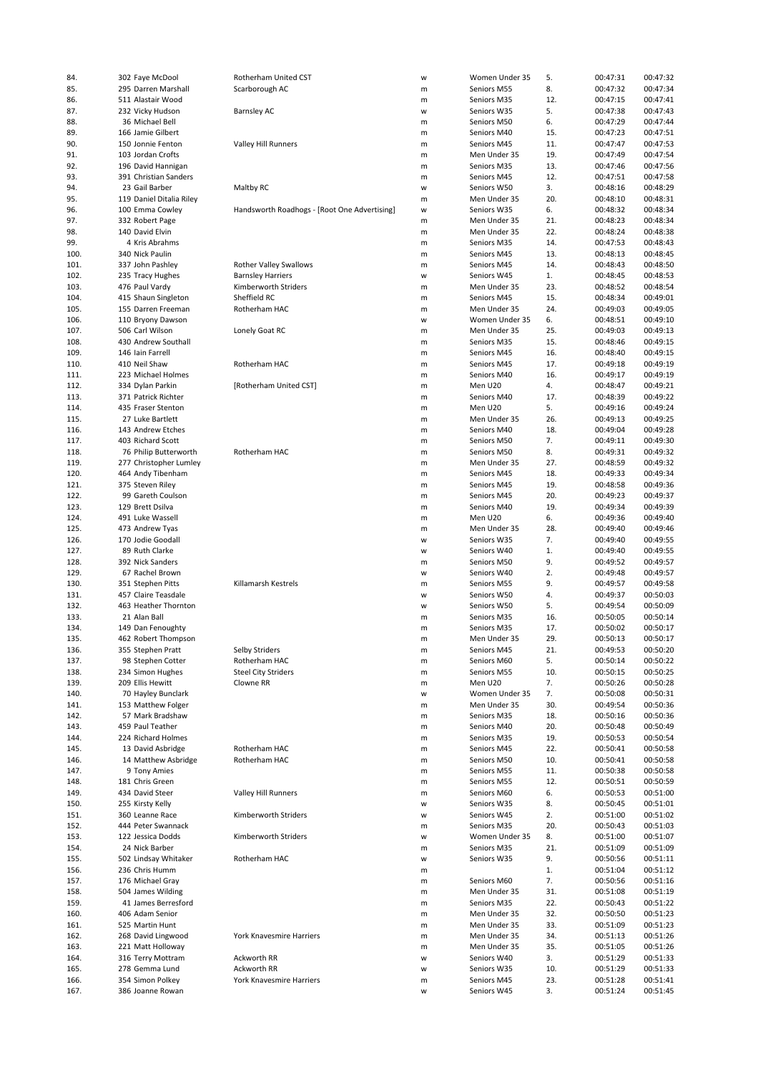| 84.          | 302 Faye McDool                      | Rotherham United CST                         | W      | Women Under 35             | 5.        | 00:47:31             | 00:47:32             |
|--------------|--------------------------------------|----------------------------------------------|--------|----------------------------|-----------|----------------------|----------------------|
| 85.          | 295 Darren Marshall                  | Scarborough AC                               | m      | Seniors M55                | 8.        | 00:47:32             | 00:47:34             |
|              |                                      |                                              |        |                            |           |                      |                      |
| 86.          | 511 Alastair Wood                    |                                              | m      | Seniors M35                | 12.       | 00:47:15             | 00:47:41             |
| 87.          | 232 Vicky Hudson                     | <b>Barnsley AC</b>                           | W      | Seniors W35                | 5.        | 00:47:38             | 00:47:43             |
| 88.          | 36 Michael Bell                      |                                              | m      | Seniors M50                | 6.        | 00:47:29             | 00:47:44             |
|              |                                      |                                              |        |                            |           |                      |                      |
| 89.          | 166 Jamie Gilbert                    |                                              | m      | Seniors M40                | 15.       | 00:47:23             | 00:47:51             |
| 90.          | 150 Jonnie Fenton                    | Valley Hill Runners                          | m      | Seniors M45                | 11.       | 00:47:47             | 00:47:53             |
| 91.          | 103 Jordan Crofts                    |                                              | m      | Men Under 35               | 19.       | 00:47:49             | 00:47:54             |
| 92.          | 196 David Hannigan                   |                                              | m      | Seniors M35                | 13.       | 00:47:46             | 00:47:56             |
|              |                                      |                                              |        |                            |           |                      |                      |
| 93.          | 391 Christian Sanders                |                                              | m      | Seniors M45                | 12.       | 00:47:51             | 00:47:58             |
| 94.          | 23 Gail Barber                       | Maltby RC                                    | W      | Seniors W50                | 3.        | 00:48:16             | 00:48:29             |
|              |                                      |                                              |        |                            | 20.       |                      | 00:48:31             |
| 95.          | 119 Daniel Ditalia Riley             |                                              | m      | Men Under 35               |           | 00:48:10             |                      |
| 96.          | 100 Emma Cowley                      | Handsworth Roadhogs - [Root One Advertising] | W      | Seniors W35                | 6.        | 00:48:32             | 00:48:34             |
| 97.          | 332 Robert Page                      |                                              | m      | Men Under 35               | 21.       | 00:48:23             | 00:48:34             |
| 98.          | 140 David Elvin                      |                                              |        | Men Under 35               | 22.       | 00:48:24             | 00:48:38             |
|              |                                      |                                              | m      |                            |           |                      |                      |
| 99.          | 4 Kris Abrahms                       |                                              | m      | Seniors M35                | 14.       | 00:47:53             | 00:48:43             |
| 100.         | 340 Nick Paulin                      |                                              | m      | Seniors M45                | 13.       | 00:48:13             | 00:48:45             |
| 101.         | 337 John Pashley                     | <b>Rother Valley Swallows</b>                |        | Seniors M45                | 14.       | 00:48:43             | 00:48:50             |
|              |                                      |                                              | m      |                            |           |                      |                      |
| 102.         | 235 Tracy Hughes                     | <b>Barnsley Harriers</b>                     | W      | Seniors W45                | 1.        | 00:48:45             | 00:48:53             |
| 103.         | 476 Paul Vardy                       | Kimberworth Striders                         | m      | Men Under 35               | 23.       | 00:48:52             | 00:48:54             |
| 104.         | 415 Shaun Singleton                  | Sheffield RC                                 | m      | Seniors M45                | 15.       | 00:48:34             | 00:49:01             |
|              |                                      |                                              |        |                            |           |                      |                      |
| 105.         | 155 Darren Freeman                   | Rotherham HAC                                | m      | Men Under 35               | 24.       | 00:49:03             | 00:49:05             |
| 106.         | 110 Bryony Dawson                    |                                              | W      | Women Under 35             | 6.        | 00:48:51             | 00:49:10             |
| 107.         | 506 Carl Wilson                      | Lonely Goat RC                               | m      | Men Under 35               | 25.       | 00:49:03             | 00:49:13             |
|              |                                      |                                              |        |                            |           |                      |                      |
| 108.         | 430 Andrew Southall                  |                                              | m      | Seniors M35                | 15.       | 00:48:46             | 00:49:15             |
| 109.         | 146 Iain Farrell                     |                                              | m      | Seniors M45                | 16.       | 00:48:40             | 00:49:15             |
| 110.         | 410 Neil Shaw                        | Rotherham HAC                                | m      | Seniors M45                | 17.       | 00:49:18             | 00:49:19             |
|              |                                      |                                              |        |                            |           |                      |                      |
| 111.         | 223 Michael Holmes                   |                                              | m      | Seniors M40                | 16.       | 00:49:17             | 00:49:19             |
| 112.         | 334 Dylan Parkin                     | [Rotherham United CST]                       | m      | Men U20                    | 4.        | 00:48:47             | 00:49:21             |
| 113.         | 371 Patrick Richter                  |                                              | m      | Seniors M40                | 17.       | 00:48:39             | 00:49:22             |
|              |                                      |                                              |        |                            |           |                      |                      |
| 114.         | 435 Fraser Stenton                   |                                              | m      | Men U20                    | 5.        | 00:49:16             | 00:49:24             |
| 115.         | 27 Luke Bartlett                     |                                              | m      | Men Under 35               | 26.       | 00:49:13             | 00:49:25             |
| 116.         | 143 Andrew Etches                    |                                              |        | Seniors M40                |           |                      | 00:49:28             |
|              |                                      |                                              | m      |                            | 18.       | 00:49:04             |                      |
| 117.         | 403 Richard Scott                    |                                              | m      | Seniors M50                | 7.        | 00:49:11             | 00:49:30             |
| 118.         | 76 Philip Butterworth                | Rotherham HAC                                | m      | Seniors M50                | 8.        | 00:49:31             | 00:49:32             |
|              |                                      |                                              |        |                            |           |                      |                      |
| 119.         | 277 Christopher Lumley               |                                              | m      | Men Under 35               | 27.       | 00:48:59             | 00:49:32             |
| 120.         | 464 Andy Tibenham                    |                                              | m      | Seniors M45                | 18.       | 00:49:33             | 00:49:34             |
| 121.         | 375 Steven Riley                     |                                              | m      | Seniors M45                | 19.       | 00:48:58             | 00:49:36             |
|              |                                      |                                              |        |                            |           |                      |                      |
| 122.         | 99 Gareth Coulson                    |                                              | m      | Seniors M45                | 20.       | 00:49:23             | 00:49:37             |
| 123.         | 129 Brett Dsilva                     |                                              | m      | Seniors M40                | 19.       | 00:49:34             | 00:49:39             |
| 124.         | 491 Luke Wassell                     |                                              | m      | Men U20                    | 6.        | 00:49:36             | 00:49:40             |
|              |                                      |                                              |        |                            |           |                      |                      |
| 125.         | 473 Andrew Tyas                      |                                              | m      | Men Under 35               | 28.       | 00:49:40             | 00:49:46             |
| 126.         | 170 Jodie Goodall                    |                                              | W      | Seniors W35                | 7.        | 00:49:40             | 00:49:55             |
| 127.         | 89 Ruth Clarke                       |                                              | W      | Seniors W40                | 1.        | 00:49:40             | 00:49:55             |
|              |                                      |                                              |        |                            |           |                      |                      |
| 128.         | 392 Nick Sanders                     |                                              | m      | Seniors M50                | 9.        | 00:49:52             | 00:49:57             |
| 129.         | 67 Rachel Brown                      |                                              | W      | Seniors W40                | 2.        | 00:49:48             | 00:49:57             |
| 130.         | 351 Stephen Pitts                    | Killamarsh Kestrels                          | m      | Seniors M55                | 9.        | 00:49:57             | 00:49:58             |
|              |                                      |                                              |        |                            |           |                      |                      |
| 131.         | 457 Claire Teasdale                  |                                              | W      | Seniors W50                | 4.        | 00:49:37             | 00:50:03             |
| 132.         | 463 Heather Thornton                 |                                              | W      | Seniors W50                | 5.        | 00:49:54             | 00:50:09             |
| 133.         | 21 Alan Ball                         |                                              | m      | Seniors M35                | 16.       | 00:50:05             | 00:50:14             |
|              |                                      |                                              |        |                            |           |                      |                      |
| 134.         | 149 Dan Fenoughty                    |                                              | m      | Seniors M35                | 17.       | 00:50:02             | 00:50:17             |
| 135.         | 462 Robert Thompson                  |                                              | m      | Men Under 35               | 29.       | 00:50:13             | 00:50:17             |
| 136.         | 355 Stephen Pratt                    | Selby Striders                               | m      | Seniors M45                | 21.       | 00:49:53             | 00:50:20             |
|              |                                      |                                              |        |                            |           |                      |                      |
| 137.         | 98 Stephen Cotter                    | Rotherham HAC                                | m      | Seniors M60                | 5.        | 00:50:14             | 00:50:22             |
| 138.         | 234 Simon Hughes                     | <b>Steel City Striders</b>                   | m      | Seniors M55                | 10.       | 00:50:15             | 00:50:25             |
| 139.         | 209 Ellis Hewitt                     | Clowne RR                                    | m      | Men U20                    | 7.        | 00:50:26             | 00:50:28             |
|              |                                      |                                              |        |                            |           |                      |                      |
| 140.         | 70 Hayley Bunclark                   |                                              | W      | Women Under 35             | 7.        | 00:50:08             | 00:50:31             |
| 141.         | 153 Matthew Folger                   |                                              | m      | Men Under 35               | 30.       | 00:49:54             | 00:50:36             |
| 142.         | 57 Mark Bradshaw                     |                                              | m      | Seniors M35                | 18.       | 00:50:16             | 00:50:36             |
|              | 459 Paul Teather                     |                                              |        |                            | 20.       |                      |                      |
| 143.         |                                      |                                              | m      | Seniors M40                |           | 00:50:48             | 00:50:49             |
| 144.         | 224 Richard Holmes                   |                                              | m      | Seniors M35                | 19.       | 00:50:53             | 00:50:54             |
| 145.         | 13 David Asbridge                    | Rotherham HAC                                | m      | Seniors M45                | 22.       | 00:50:41             | 00:50:58             |
| 146.         | 14 Matthew Asbridge                  | Rotherham HAC                                | m      | Seniors M50                | 10.       | 00:50:41             | 00:50:58             |
|              |                                      |                                              |        |                            |           |                      |                      |
| 147.         | 9 Tony Amies                         |                                              | m      | Seniors M55                | 11.       | 00:50:38             | 00:50:58             |
| 148.         | 181 Chris Green                      |                                              | m      | Seniors M55                | 12.       | 00:50:51             | 00:50:59             |
| 149.         | 434 David Steer                      | <b>Valley Hill Runners</b>                   | m      | Seniors M60                | 6.        | 00:50:53             | 00:51:00             |
|              |                                      |                                              |        |                            |           |                      |                      |
| 150.         | 255 Kirsty Kelly                     |                                              | w      | Seniors W35                | 8.        | 00:50:45             | 00:51:01             |
| 151.         | 360 Leanne Race                      | Kimberworth Striders                         | w      | Seniors W45                | 2.        | 00:51:00             | 00:51:02             |
| 152.         | 444 Peter Swannack                   |                                              |        | Seniors M35                | 20.       | 00:50:43             | 00:51:03             |
|              |                                      |                                              | m      |                            |           |                      |                      |
| 153.         | 122 Jessica Dodds                    | Kimberworth Striders                         | W      | Women Under 35             | 8.        | 00:51:00             | 00:51:07             |
| 154.         | 24 Nick Barber                       |                                              | m      | Seniors M35                | 21.       | 00:51:09             | 00:51:09             |
|              |                                      |                                              |        |                            |           |                      |                      |
| 155.         | 502 Lindsay Whitaker                 | Rotherham HAC                                | W      | Seniors W35                | 9.        | 00:50:56             | 00:51:11             |
| 156.         | 236 Chris Humm                       |                                              | m      |                            | 1.        | 00:51:04             | 00:51:12             |
| 157.         | 176 Michael Gray                     |                                              | m      | Seniors M60                | 7.        | 00:50:56             | 00:51:16             |
|              |                                      |                                              |        |                            |           |                      |                      |
| 158.         | 504 James Wilding                    |                                              | m      | Men Under 35               | 31.       | 00:51:08             | 00:51:19             |
| 159.         | 41 James Berresford                  |                                              | m      | Seniors M35                | 22.       | 00:50:43             | 00:51:22             |
| 160.         | 406 Adam Senior                      |                                              | m      | Men Under 35               | 32.       | 00:50:50             | 00:51:23             |
|              |                                      |                                              |        |                            |           |                      |                      |
| 161.         | 525 Martin Hunt                      |                                              | m      | Men Under 35               | 33.       | 00:51:09             | 00:51:23             |
| 162.         | 268 David Lingwood                   | York Knavesmire Harriers                     | m      | Men Under 35               | 34.       | 00:51:13             | 00:51:26             |
| 163.         | 221 Matt Holloway                    |                                              | m      | Men Under 35               | 35.       | 00:51:05             | 00:51:26             |
|              |                                      |                                              |        |                            |           |                      |                      |
| 164.         | 316 Terry Mottram                    | Ackworth RR                                  | W      | Seniors W40                | 3.        | 00:51:29             | 00:51:33             |
| 165.         | 278 Gemma Lund                       | Ackworth RR                                  | W      | Seniors W35                | 10.       | 00:51:29             | 00:51:33             |
|              |                                      |                                              |        |                            |           |                      |                      |
|              |                                      |                                              |        |                            |           |                      |                      |
| 166.<br>167. | 354 Simon Polkey<br>386 Joanne Rowan | York Knavesmire Harriers                     | m<br>W | Seniors M45<br>Seniors W45 | 23.<br>3. | 00:51:28<br>00:51:24 | 00:51:41<br>00:51:45 |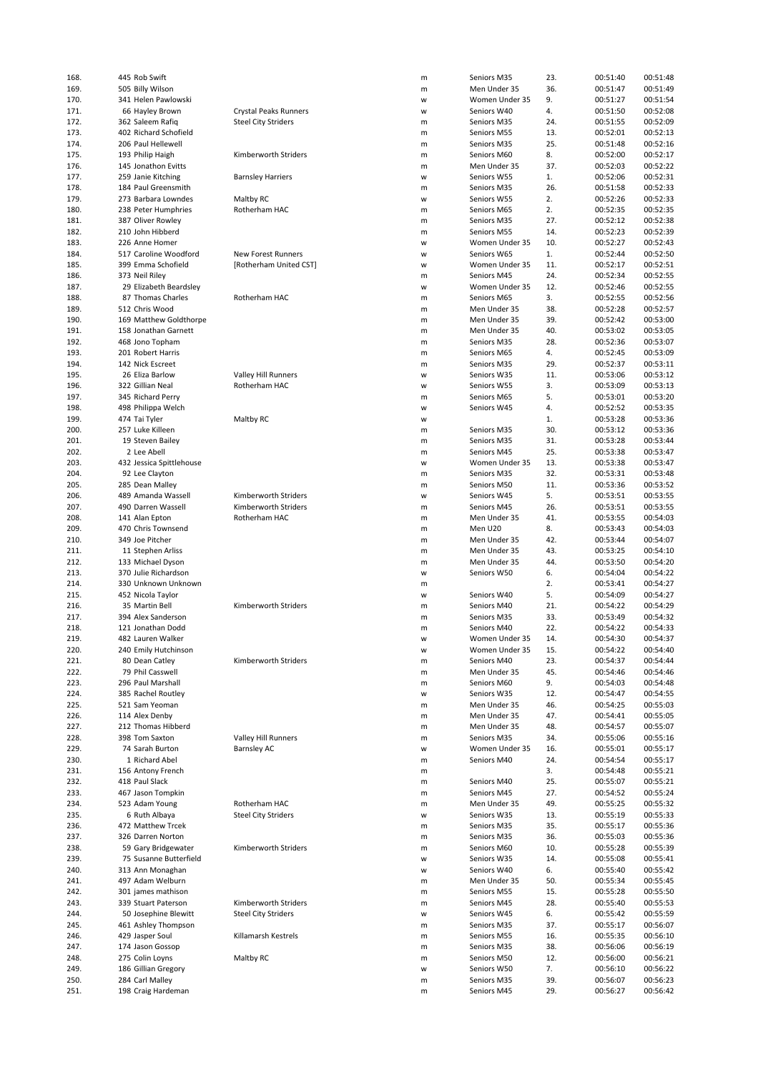| 168.         | 445 Rob Swift                         |                            | m      | Seniors M35                | 23.        | 00:51:40             | 00:51:48             |
|--------------|---------------------------------------|----------------------------|--------|----------------------------|------------|----------------------|----------------------|
| 169.         | 505 Billy Wilson                      |                            | m      | Men Under 35               | 36.        | 00:51:47             | 00:51:49             |
|              |                                       |                            |        |                            |            |                      |                      |
| 170.         | 341 Helen Pawlowski                   |                            | W      | Women Under 35             | 9.         | 00:51:27             | 00:51:54             |
| 171.         | 66 Hayley Brown                       | Crystal Peaks Runners      | W      | Seniors W40                | 4.         | 00:51:50             | 00:52:08             |
| 172.         | 362 Saleem Rafiq                      | <b>Steel City Striders</b> | m      | Seniors M35                | 24.        | 00:51:55             | 00:52:09             |
|              |                                       |                            |        |                            |            |                      |                      |
| 173.         | 402 Richard Schofield                 |                            | m      | Seniors M55                | 13.        | 00:52:01             | 00:52:13             |
| 174.         | 206 Paul Hellewell                    |                            | m      | Seniors M35                | 25.        | 00:51:48             | 00:52:16             |
| 175.         | 193 Philip Haigh                      | Kimberworth Striders       | m      | Seniors M60                | 8.         | 00:52:00             | 00:52:17             |
|              |                                       |                            |        |                            |            |                      |                      |
| 176.         | 145 Jonathon Evitts                   |                            | m      | Men Under 35               | 37.        | 00:52:03             | 00:52:22             |
| 177.         | 259 Janie Kitching                    | <b>Barnsley Harriers</b>   | W      | Seniors W55                | 1.         | 00:52:06             | 00:52:31             |
| 178.         | 184 Paul Greensmith                   |                            | m      | Seniors M35                | 26.        | 00:51:58             | 00:52:33             |
|              |                                       |                            |        |                            |            |                      |                      |
| 179.         | 273 Barbara Lowndes                   | Maltby RC                  | W      | Seniors W55                | 2.         | 00:52:26             | 00:52:33             |
| 180.         | 238 Peter Humphries                   | Rotherham HAC              | m      | Seniors M65                | 2.         | 00:52:35             | 00:52:35             |
| 181.         | 387 Oliver Rowley                     |                            | m      | Seniors M35                | 27.        | 00:52:12             | 00:52:38             |
|              |                                       |                            |        |                            |            |                      |                      |
| 182.         | 210 John Hibberd                      |                            | m      | Seniors M55                | 14.        | 00:52:23             | 00:52:39             |
| 183.         | 226 Anne Homer                        |                            | W      | Women Under 35             | 10.        | 00:52:27             | 00:52:43             |
| 184.         | 517 Caroline Woodford                 | New Forest Runners         | W      | Seniors W65                | 1.         | 00:52:44             | 00:52:50             |
|              |                                       |                            |        |                            |            |                      |                      |
| 185.         | 399 Emma Schofield                    | [Rotherham United CST]     | W      | Women Under 35             | 11.        | 00:52:17             | 00:52:51             |
| 186.         | 373 Neil Riley                        |                            | m      | Seniors M45                | 24.        | 00:52:34             | 00:52:55             |
| 187.         | 29 Elizabeth Beardsley                |                            | W      | Women Under 35             | 12.        | 00:52:46             | 00:52:55             |
|              |                                       |                            |        |                            |            |                      |                      |
| 188.         | 87 Thomas Charles                     | Rotherham HAC              | m      | Seniors M65                | 3.         | 00:52:55             | 00:52:56             |
| 189.         | 512 Chris Wood                        |                            | m      | Men Under 35               | 38.        | 00:52:28             | 00:52:57             |
| 190.         |                                       |                            |        |                            |            |                      |                      |
|              | 169 Matthew Goldthorpe                |                            | m      | Men Under 35               | 39.        | 00:52:42             | 00:53:00             |
| 191.         | 158 Jonathan Garnett                  |                            | m      | Men Under 35               | 40.        | 00:53:02             | 00:53:05             |
| 192.         | 468 Jono Topham                       |                            | m      | Seniors M35                | 28.        | 00:52:36             | 00:53:07             |
|              |                                       |                            |        |                            |            |                      |                      |
| 193.         | 201 Robert Harris                     |                            | m      | Seniors M65                | 4.         | 00:52:45             | 00:53:09             |
| 194.         | 142 Nick Escreet                      |                            | m      | Seniors M35                | 29.        | 00:52:37             | 00:53:11             |
| 195.         | 26 Eliza Barlow                       | Valley Hill Runners        | W      | Seniors W35                | 11.        | 00:53:06             | 00:53:12             |
|              |                                       |                            |        |                            |            |                      |                      |
| 196.         | 322 Gillian Neal                      | Rotherham HAC              | W      | Seniors W55                | 3.         | 00:53:09             | 00:53:13             |
| 197.         | 345 Richard Perry                     |                            | m      | Seniors M65                | 5.         | 00:53:01             | 00:53:20             |
| 198.         | 498 Philippa Welch                    |                            | W      | Seniors W45                | 4.         | 00:52:52             | 00:53:35             |
|              |                                       |                            |        |                            |            |                      |                      |
| 199.         | 474 Tai Tyler                         | Maltby RC                  | W      |                            | 1.         | 00:53:28             | 00:53:36             |
| 200.         | 257 Luke Killeen                      |                            | m      | Seniors M35                | 30.        | 00:53:12             | 00:53:36             |
| 201.         | 19 Steven Bailey                      |                            | m      | Seniors M35                | 31.        | 00:53:28             | 00:53:44             |
|              |                                       |                            |        |                            |            |                      |                      |
| 202.         | 2 Lee Abell                           |                            | m      | Seniors M45                | 25.        | 00:53:38             | 00:53:47             |
| 203.         | 432 Jessica Spittlehouse              |                            | W      | Women Under 35             | 13.        | 00:53:38             | 00:53:47             |
| 204.         | 92 Lee Clayton                        |                            | m      | Seniors M35                | 32.        | 00:53:31             | 00:53:48             |
|              |                                       |                            |        |                            |            |                      |                      |
| 205.         | 285 Dean Malley                       |                            | m      | Seniors M50                | 11.        | 00:53:36             | 00:53:52             |
| 206.         | 489 Amanda Wassell                    | Kimberworth Striders       | W      | Seniors W45                | 5.         | 00:53:51             | 00:53:55             |
|              |                                       |                            |        |                            |            |                      |                      |
| 207.         | 490 Darren Wassell                    | Kimberworth Striders       | m      | Seniors M45                | 26.        | 00:53:51             | 00:53:55             |
| 208.         | 141 Alan Epton                        | Rotherham HAC              | m      | Men Under 35               | 41.        | 00:53:55             | 00:54:03             |
| 209.         | 470 Chris Townsend                    |                            | m      | Men U20                    | 8.         | 00:53:43             | 00:54:03             |
|              |                                       |                            |        |                            |            |                      |                      |
| 210.         | 349 Joe Pitcher                       |                            | m      | Men Under 35               | 42.        | 00:53:44             | 00:54:07             |
| 211.         | 11 Stephen Arliss                     |                            | m      | Men Under 35               | 43.        | 00:53:25             | 00:54:10             |
| 212.         | 133 Michael Dyson                     |                            | m      | Men Under 35               | 44.        | 00:53:50             | 00:54:20             |
|              |                                       |                            |        |                            |            |                      |                      |
| 213.         | 370 Julie Richardson                  |                            | W      | Seniors W50                | 6.         | 00:54:04             | 00:54:22             |
| 214.         | 330 Unknown Unknown                   |                            | m      |                            | 2.         | 00:53:41             | 00:54:27             |
| 215.         | 452 Nicola Taylor                     |                            | W      | Seniors W40                | 5.         | 00:54:09             | 00:54:27             |
|              |                                       |                            |        |                            |            |                      |                      |
| 216.         | 35 Martin Bell                        | Kimberworth Striders       | m      | Seniors M40                | 21.        | 00:54:22             | 00:54:29             |
| 217.         | 394 Alex Sanderson                    |                            | m      | Seniors M35                | 33.        | 00:53:49             | 00:54:32             |
| 218.         | 121 Jonathan Dodd                     |                            | m      | Seniors M40                | 22.        | 00:54:22             | 00:54:33             |
|              |                                       |                            |        |                            |            |                      |                      |
| 219.         | 482 Lauren Walker                     |                            | W      | Women Under 35             | 14.        | 00:54:30             | 00:54:37             |
| 220.         | 240 Emily Hutchinson                  |                            | W      | Women Under 35             | 15.        | 00:54:22             | 00:54:40             |
|              | 80 Dean Catley                        | Kimberworth Striders       |        | Seniors M40                |            |                      | 00:54:44             |
| 221.         |                                       |                            | m      |                            | 23.        | 00:54:37             |                      |
| 222.         | 79 Phil Casswell                      |                            | m      | Men Under 35               | 45.        | 00:54:46             | 00:54:46             |
| 223.         | 296 Paul Marshall                     |                            | m      | Seniors M60                | 9.         | 00:54:03             | 00:54:48             |
|              |                                       |                            |        | Seniors W35                |            |                      |                      |
| 224.         | 385 Rachel Routley                    |                            | W      |                            | 12.        | 00:54:47             | 00:54:55             |
| 225.         | 521 Sam Yeoman                        |                            | m      | Men Under 35               | 46.        | 00:54:25             | 00:55:03             |
| 226.         | 114 Alex Denby                        |                            | m      | Men Under 35               | 47.        | 00:54:41             | 00:55:05             |
|              |                                       |                            |        |                            |            |                      |                      |
| 227.         |                                       |                            |        |                            |            |                      |                      |
| 228.         | 212 Thomas Hibberd                    |                            | m      | Men Under 35               | 48.        | 00:54:57             | 00:55:07             |
| 229.         | 398 Tom Saxton                        | Valley Hill Runners        | m      | Seniors M35                | 34.        | 00:55:06             | 00:55:16             |
|              | 74 Sarah Burton                       | <b>Barnsley AC</b>         | W      | Women Under 35             | 16.        | 00:55:01             | 00:55:17             |
|              |                                       |                            |        |                            |            |                      |                      |
| 230.         | 1 Richard Abel                        |                            | m      | Seniors M40                | 24.        | 00:54:54             | 00:55:17             |
| 231.         | 156 Antony French                     |                            | m      |                            | 3.         | 00:54:48             | 00:55:21             |
|              |                                       |                            |        |                            |            |                      |                      |
| 232.         | 418 Paul Slack                        |                            | m      | Seniors M40                | 25.        | 00:55:07             | 00:55:21             |
| 233.         | 467 Jason Tompkin                     |                            | m      | Seniors M45                | 27.        | 00:54:52             | 00:55:24             |
| 234.         | 523 Adam Young                        | Rotherham HAC              | m      | Men Under 35               | 49.        | 00:55:25             | 00:55:32             |
|              |                                       |                            |        |                            |            |                      |                      |
| 235.         | 6 Ruth Albaya                         | <b>Steel City Striders</b> | W      | Seniors W35                | 13.        | 00:55:19             | 00:55:33             |
| 236.         | 472 Matthew Trcek                     |                            | m      | Seniors M35                | 35.        | 00:55:17             | 00:55:36             |
| 237.         | 326 Darren Norton                     |                            | m      | Seniors M35                | 36.        | 00:55:03             | 00:55:36             |
|              |                                       |                            |        |                            |            |                      |                      |
| 238.         | 59 Gary Bridgewater                   | Kimberworth Striders       | m      | Seniors M60                | 10.        | 00:55:28             | 00:55:39             |
| 239.         | 75 Susanne Butterfield                |                            | W      | Seniors W35                | 14.        | 00:55:08             | 00:55:41             |
| 240.         | 313 Ann Monaghan                      |                            | W      | Seniors W40                | 6.         | 00:55:40             | 00:55:42             |
|              |                                       |                            |        |                            |            |                      |                      |
| 241.         | 497 Adam Welburn                      |                            | m      | Men Under 35               | 50.        | 00:55:34             | 00:55:45             |
| 242.         | 301 james mathison                    |                            | m      | Seniors M55                | 15.        | 00:55:28             | 00:55:50             |
| 243.         | 339 Stuart Paterson                   | Kimberworth Striders       | m      | Seniors M45                | 28.        | 00:55:40             | 00:55:53             |
|              |                                       |                            |        |                            |            |                      |                      |
| 244.         | 50 Josephine Blewitt                  | <b>Steel City Striders</b> | W      | Seniors W45                | 6.         | 00:55:42             | 00:55:59             |
| 245.         | 461 Ashley Thompson                   |                            | m      | Seniors M35                | 37.        | 00:55:17             | 00:56:07             |
|              |                                       |                            |        |                            |            |                      |                      |
| 246.         | 429 Jasper Soul                       | Killamarsh Kestrels        | m      | Seniors M55                | 16.        | 00:55:35             | 00:56:10             |
| 247.         | 174 Jason Gossop                      |                            | m      | Seniors M35                | 38.        | 00:56:06             | 00:56:19             |
| 248.         | 275 Colin Loyns                       | Maltby RC                  | m      | Seniors M50                | 12.        | 00:56:00             | 00:56:21             |
| 249.         |                                       |                            | W      | Seniors W50                |            |                      | 00:56:22             |
|              | 186 Gillian Gregory                   |                            |        |                            | 7.         | 00:56:10             |                      |
| 250.<br>251. | 284 Carl Malley<br>198 Craig Hardeman |                            | m<br>m | Seniors M35<br>Seniors M45 | 39.<br>29. | 00:56:07<br>00:56:27 | 00:56:23<br>00:56:42 |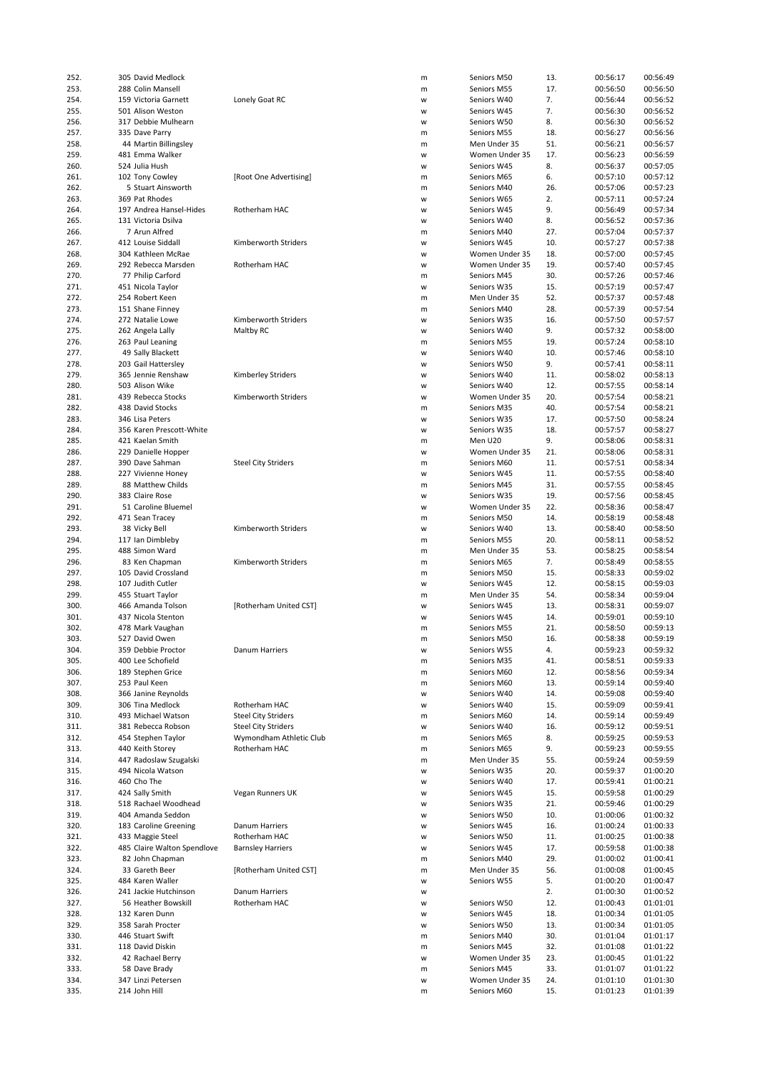| 252. | 305 David Medlock           |                            | m | Seniors M50    | 13. | 00:56:17 | 00:56:49 |
|------|-----------------------------|----------------------------|---|----------------|-----|----------|----------|
|      |                             |                            |   |                |     |          |          |
| 253. | 288 Colin Mansell           |                            | m | Seniors M55    | 17. | 00:56:50 | 00:56:50 |
| 254. | 159 Victoria Garnett        | Lonely Goat RC             | W | Seniors W40    | 7.  | 00:56:44 | 00:56:52 |
| 255. | 501 Alison Weston           |                            | W | Seniors W45    | 7.  | 00:56:30 | 00:56:52 |
| 256. | 317 Debbie Mulhearn         |                            | W | Seniors W50    | 8.  | 00:56:30 | 00:56:52 |
|      |                             |                            |   |                |     |          |          |
| 257. | 335 Dave Parry              |                            | m | Seniors M55    | 18. | 00:56:27 | 00:56:56 |
| 258. | 44 Martin Billingsley       |                            | m | Men Under 35   | 51. | 00:56:21 | 00:56:57 |
| 259. | 481 Emma Walker             |                            | w | Women Under 35 | 17. | 00:56:23 | 00:56:59 |
| 260. | 524 Julia Hush              |                            | W | Seniors W45    | 8.  | 00:56:37 | 00:57:05 |
|      |                             |                            |   |                |     |          |          |
| 261. | 102 Tony Cowley             | [Root One Advertising]     | m | Seniors M65    | 6.  | 00:57:10 | 00:57:12 |
| 262. | 5 Stuart Ainsworth          |                            | m | Seniors M40    | 26. | 00:57:06 | 00:57:23 |
|      |                             |                            |   |                |     |          |          |
| 263. | 369 Pat Rhodes              |                            | w | Seniors W65    | 2.  | 00:57:11 | 00:57:24 |
| 264. | 197 Andrea Hansel-Hides     | Rotherham HAC              | W | Seniors W45    | 9.  | 00:56:49 | 00:57:34 |
| 265. | 131 Victoria Dsilva         |                            | W | Seniors W40    | 8.  | 00:56:52 | 00:57:36 |
|      | 7 Arun Alfred               |                            |   |                | 27. | 00:57:04 | 00:57:37 |
| 266. |                             |                            | m | Seniors M40    |     |          |          |
| 267. | 412 Louise Siddall          | Kimberworth Striders       | w | Seniors W45    | 10. | 00:57:27 | 00:57:38 |
| 268. | 304 Kathleen McRae          |                            | W | Women Under 35 | 18. | 00:57:00 | 00:57:45 |
| 269. | 292 Rebecca Marsden         | Rotherham HAC              | W | Women Under 35 | 19. | 00:57:40 | 00:57:45 |
|      |                             |                            |   |                |     |          |          |
| 270. | 77 Philip Carford           |                            | m | Seniors M45    | 30. | 00:57:26 | 00:57:46 |
| 271. | 451 Nicola Taylor           |                            | W | Seniors W35    | 15. | 00:57:19 | 00:57:47 |
| 272. | 254 Robert Keen             |                            | m | Men Under 35   | 52. | 00:57:37 | 00:57:48 |
|      |                             |                            |   |                |     |          |          |
| 273. | 151 Shane Finney            |                            | m | Seniors M40    | 28. | 00:57:39 | 00:57:54 |
| 274. | 272 Natalie Lowe            | Kimberworth Striders       | W | Seniors W35    | 16. | 00:57:50 | 00:57:57 |
| 275. | 262 Angela Lally            | Maltby RC                  | W | Seniors W40    | 9.  | 00:57:32 | 00:58:00 |
|      |                             |                            |   |                |     |          |          |
| 276. | 263 Paul Leaning            |                            | m | Seniors M55    | 19. | 00:57:24 | 00:58:10 |
| 277. | 49 Sally Blackett           |                            | W | Seniors W40    | 10. | 00:57:46 | 00:58:10 |
| 278. | 203 Gail Hattersley         |                            | w | Seniors W50    | 9.  | 00:57:41 | 00:58:11 |
|      |                             |                            |   |                |     |          |          |
| 279. | 365 Jennie Renshaw          | Kimberley Striders         | W | Seniors W40    | 11. | 00:58:02 | 00:58:13 |
| 280. | 503 Alison Wike             |                            | W | Seniors W40    | 12. | 00:57:55 | 00:58:14 |
| 281. | 439 Rebecca Stocks          | Kimberworth Striders       | W | Women Under 35 | 20. | 00:57:54 | 00:58:21 |
|      |                             |                            |   |                |     |          |          |
| 282. | 438 David Stocks            |                            | m | Seniors M35    | 40. | 00:57:54 | 00:58:21 |
| 283. | 346 Lisa Peters             |                            | W | Seniors W35    | 17. | 00:57:50 | 00:58:24 |
|      |                             |                            |   |                |     |          |          |
| 284. | 356 Karen Prescott-White    |                            | W | Seniors W35    | 18. | 00:57:57 | 00:58:27 |
| 285. | 421 Kaelan Smith            |                            | m | Men U20        | 9.  | 00:58:06 | 00:58:31 |
| 286. | 229 Danielle Hopper         |                            | W | Women Under 35 | 21. | 00:58:06 | 00:58:31 |
|      |                             |                            |   |                |     |          |          |
| 287. | 390 Dave Sahman             | <b>Steel City Striders</b> | m | Seniors M60    | 11. | 00:57:51 | 00:58:34 |
| 288. | 227 Vivienne Honey          |                            | W | Seniors W45    | 11. | 00:57:55 | 00:58:40 |
| 289. | 88 Matthew Childs           |                            | m | Seniors M45    | 31. | 00:57:55 | 00:58:45 |
|      |                             |                            |   |                |     |          |          |
| 290. | 383 Claire Rose             |                            | W | Seniors W35    | 19. | 00:57:56 | 00:58:45 |
| 291. | 51 Caroline Bluemel         |                            | W | Women Under 35 | 22. | 00:58:36 | 00:58:47 |
| 292. | 471 Sean Tracey             |                            | m | Seniors M50    | 14. | 00:58:19 | 00:58:48 |
|      |                             |                            |   |                |     |          |          |
| 293. | 38 Vicky Bell               | Kimberworth Striders       | w | Seniors W40    | 13. | 00:58:40 | 00:58:50 |
| 294. | 117 Ian Dimbleby            |                            | m | Seniors M55    | 20. | 00:58:11 | 00:58:52 |
| 295. | 488 Simon Ward              |                            | m | Men Under 35   | 53. | 00:58:25 | 00:58:54 |
|      |                             |                            |   |                |     |          |          |
| 296. | 83 Ken Chapman              | Kimberworth Striders       | m | Seniors M65    | 7.  | 00:58:49 | 00:58:55 |
| 297. | 105 David Crossland         |                            | m | Seniors M50    | 15. | 00:58:33 | 00:59:02 |
| 298. | 107 Judith Cutler           |                            | W | Seniors W45    | 12. | 00:58:15 | 00:59:03 |
|      |                             |                            |   |                |     |          |          |
| 299. | 455 Stuart Taylor           |                            | m | Men Under 35   | 54. | 00:58:34 | 00:59:04 |
| 300. | 466 Amanda Tolson           | [Rotherham United CST]     | w | Seniors W45    | 13. | 00:58:31 | 00:59:07 |
| 301. | 437 Nicola Stenton          |                            | W | Seniors W45    | 14. | 00:59:01 | 00:59:10 |
|      |                             |                            |   | Seniors M55    | 21. | 00:58:50 | 00:59:13 |
| 302. | 478 Mark Vaughan            |                            | m |                |     |          |          |
| 303. | 527 David Owen              |                            | m | Seniors M50    | 16. | 00:58:38 | 00:59:19 |
| 304. | 359 Debbie Proctor          | Danum Harriers             | W | Seniors W55    | 4.  | 00:59:23 | 00:59:32 |
|      | 400 Lee Schofield           |                            |   |                | 41. |          | 00:59:33 |
| 305. |                             |                            | m | Seniors M35    |     | 00:58:51 |          |
| 306. | 189 Stephen Grice           |                            | m | Seniors M60    | 12. | 00:58:56 | 00:59:34 |
| 307. | 253 Paul Keen               |                            | m | Seniors M60    | 13. | 00:59:14 | 00:59:40 |
| 308. | 366 Janine Reynolds         |                            |   | Seniors W40    | 14. | 00:59:08 | 00:59:40 |
|      |                             |                            | W |                |     |          |          |
| 309. | 306 Tina Medlock            | Rotherham HAC              | W | Seniors W40    | 15. | 00:59:09 | 00:59:41 |
| 310. | 493 Michael Watson          | <b>Steel City Striders</b> | m | Seniors M60    | 14. | 00:59:14 | 00:59:49 |
| 311. | 381 Rebecca Robson          | <b>Steel City Striders</b> | W | Seniors W40    | 16. | 00:59:12 | 00:59:51 |
|      |                             |                            |   |                |     |          |          |
| 312. | 454 Stephen Taylor          | Wymondham Athletic Club    | m | Seniors M65    | 8.  | 00:59:25 | 00:59:53 |
| 313. | 440 Keith Storey            | Rotherham HAC              | m | Seniors M65    | 9.  | 00:59:23 | 00:59:55 |
| 314. | 447 Radoslaw Szugalski      |                            | m | Men Under 35   | 55. | 00:59:24 | 00:59:59 |
|      |                             |                            |   |                |     |          |          |
| 315. | 494 Nicola Watson           |                            | W | Seniors W35    | 20. | 00:59:37 | 01:00:20 |
| 316. | 460 Cho The                 |                            | W | Seniors W40    | 17. | 00:59:41 | 01:00:21 |
| 317. | 424 Sally Smith             | Vegan Runners UK           | W | Seniors W45    | 15. | 00:59:58 | 01:00:29 |
|      |                             |                            |   |                |     |          |          |
| 318. | 518 Rachael Woodhead        |                            | w | Seniors W35    | 21. | 00:59:46 | 01:00:29 |
| 319. | 404 Amanda Seddon           |                            | W | Seniors W50    | 10. | 01:00:06 | 01:00:32 |
| 320. | 183 Caroline Greening       | Danum Harriers             | W | Seniors W45    | 16. | 01:00:24 | 01:00:33 |
|      |                             |                            |   |                |     |          |          |
| 321. | 433 Maggie Steel            | Rotherham HAC              | W | Seniors W50    | 11. | 01:00:25 | 01:00:38 |
| 322. | 485 Claire Walton Spendlove | <b>Barnsley Harriers</b>   | w | Seniors W45    | 17. | 00:59:58 | 01:00:38 |
| 323. | 82 John Chapman             |                            | m | Seniors M40    | 29. | 01:00:02 | 01:00:41 |
|      |                             |                            |   |                |     |          |          |
| 324. | 33 Gareth Beer              | [Rotherham United CST]     | m | Men Under 35   | 56. | 01:00:08 | 01:00:45 |
| 325. | 484 Karen Waller            |                            | W | Seniors W55    | 5.  | 01:00:20 | 01:00:47 |
| 326. | 241 Jackie Hutchinson       | Danum Harriers             | w |                | 2.  | 01:00:30 | 01:00:52 |
|      |                             |                            |   |                |     |          |          |
| 327. | 56 Heather Bowskill         | Rotherham HAC              | w | Seniors W50    | 12. | 01:00:43 | 01:01:01 |
| 328. | 132 Karen Dunn              |                            | W | Seniors W45    | 18. | 01:00:34 | 01:01:05 |
| 329. | 358 Sarah Procter           |                            | W | Seniors W50    | 13. | 01:00:34 | 01:01:05 |
|      |                             |                            |   |                |     |          |          |
| 330. | 446 Stuart Swift            |                            | m | Seniors M40    | 30. | 01:01:04 | 01:01:17 |
| 331. | 118 David Diskin            |                            | m | Seniors M45    | 32. | 01:01:08 | 01:01:22 |
| 332. | 42 Rachael Berry            |                            | W | Women Under 35 | 23. | 01:00:45 | 01:01:22 |
|      |                             |                            |   |                |     |          |          |
| 333. | 58 Dave Brady               |                            | m | Seniors M45    | 33. | 01:01:07 | 01:01:22 |
| 334. | 347 Linzi Petersen          |                            | W | Women Under 35 | 24. | 01:01:10 | 01:01:30 |
| 335. | 214 John Hill               |                            | m | Seniors M60    | 15. | 01:01:23 | 01:01:39 |
|      |                             |                            |   |                |     |          |          |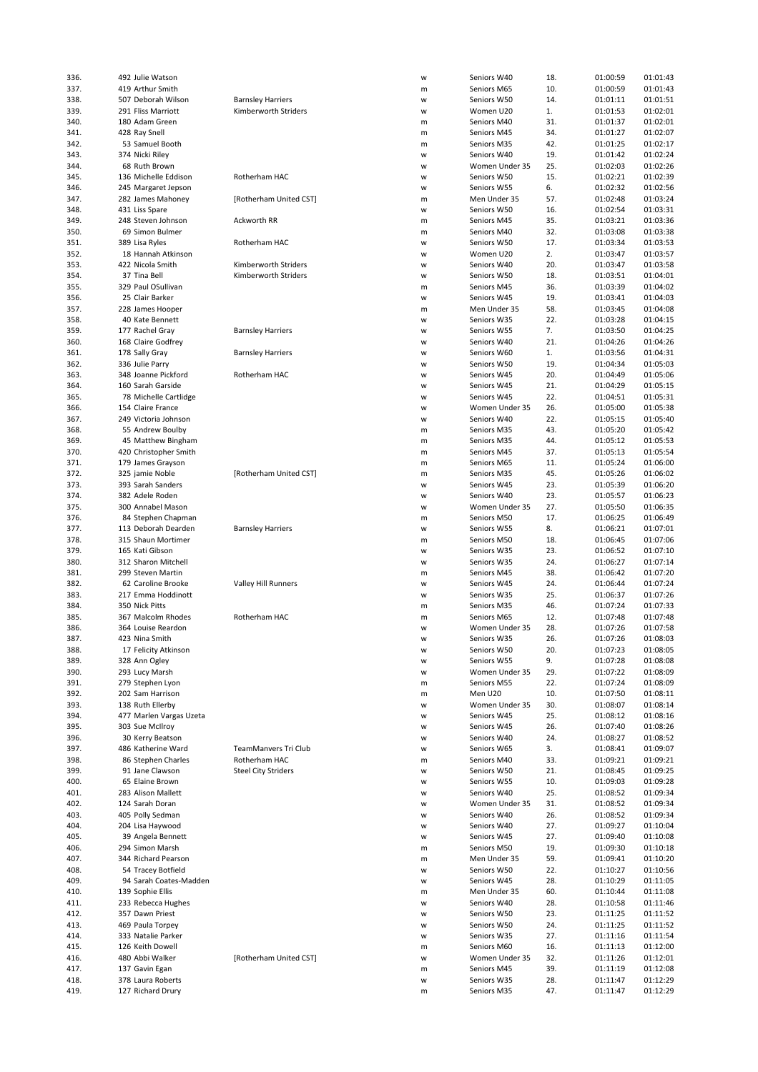| 336.         | 492 Julie Watson                       |                            | W      | Seniors W40                | 18.        | 01:00:59             | 01:01:43             |
|--------------|----------------------------------------|----------------------------|--------|----------------------------|------------|----------------------|----------------------|
| 337.         | 419 Arthur Smith                       |                            | m      | Seniors M65                | 10.        | 01:00:59             | 01:01:43             |
|              |                                        |                            |        |                            |            |                      |                      |
| 338.         | 507 Deborah Wilson                     | <b>Barnsley Harriers</b>   | W      | Seniors W50                | 14.        | 01:01:11             | 01:01:51             |
| 339.         | 291 Fliss Marriott                     | Kimberworth Striders       | W      | Women U20                  | 1.         | 01:01:53             | 01:02:01             |
| 340.         | 180 Adam Green                         |                            | m      | Seniors M40                | 31.        | 01:01:37             | 01:02:01             |
|              |                                        |                            |        |                            |            |                      |                      |
| 341.         | 428 Ray Snell                          |                            | m      | Seniors M45                | 34.        | 01:01:27             | 01:02:07             |
| 342.         | 53 Samuel Booth                        |                            | m      | Seniors M35                | 42.        | 01:01:25             | 01:02:17             |
| 343.         | 374 Nicki Riley                        |                            | W      | Seniors W40                | 19.        | 01:01:42             | 01:02:24             |
|              |                                        |                            |        | Women Under 35             |            |                      |                      |
| 344.         | 68 Ruth Brown                          |                            | W      |                            | 25.        | 01:02:03             | 01:02:26             |
| 345.         | 136 Michelle Eddison                   | Rotherham HAC              | W      | Seniors W50                | 15.        | 01:02:21             | 01:02:39             |
| 346.         | 245 Margaret Jepson                    |                            | W      | Seniors W55                | 6.         | 01:02:32             | 01:02:56             |
|              |                                        |                            |        |                            |            |                      |                      |
| 347.         | 282 James Mahoney                      | [Rotherham United CST]     | m      | Men Under 35               | 57.        | 01:02:48             | 01:03:24             |
| 348.         | 431 Liss Spare                         |                            | W      | Seniors W50                | 16.        | 01:02:54             | 01:03:31             |
| 349.         | 248 Steven Johnson                     | Ackworth RR                | m      | Seniors M45                | 35.        | 01:03:21             | 01:03:36             |
|              |                                        |                            |        |                            |            |                      |                      |
| 350.         | 69 Simon Bulmer                        |                            | m      | Seniors M40                | 32.        | 01:03:08             | 01:03:38             |
| 351.         | 389 Lisa Ryles                         | Rotherham HAC              | W      | Seniors W50                | 17.        | 01:03:34             | 01:03:53             |
| 352.         | 18 Hannah Atkinson                     |                            | W      | Women U20                  | 2.         | 01:03:47             | 01:03:57             |
|              |                                        |                            |        |                            |            |                      |                      |
| 353.         | 422 Nicola Smith                       | Kimberworth Striders       | W      | Seniors W40                | 20.        | 01:03:47             | 01:03:58             |
| 354.         | 37 Tina Bell                           | Kimberworth Striders       | W      | Seniors W50                | 18.        | 01:03:51             | 01:04:01             |
| 355.         | 329 Paul OSullivan                     |                            | m      | Seniors M45                | 36.        | 01:03:39             | 01:04:02             |
|              |                                        |                            |        |                            |            |                      |                      |
| 356.         | 25 Clair Barker                        |                            | W      | Seniors W45                | 19.        | 01:03:41             | 01:04:03             |
| 357.         | 228 James Hooper                       |                            | m      | Men Under 35               | 58.        | 01:03:45             | 01:04:08             |
|              | 40 Kate Bennett                        |                            | W      |                            | 22.        |                      | 01:04:15             |
| 358.         |                                        |                            |        | Seniors W35                |            | 01:03:28             |                      |
| 359.         | 177 Rachel Gray                        | <b>Barnsley Harriers</b>   | W      | Seniors W55                | 7.         | 01:03:50             | 01:04:25             |
| 360.         | 168 Claire Godfrey                     |                            | W      | Seniors W40                | 21.        | 01:04:26             | 01:04:26             |
|              |                                        |                            |        |                            |            |                      |                      |
| 361.         | 178 Sally Gray                         | <b>Barnsley Harriers</b>   | W      | Seniors W60                | 1.         | 01:03:56             | 01:04:31             |
| 362.         | 336 Julie Parry                        |                            | W      | Seniors W50                | 19.        | 01:04:34             | 01:05:03             |
| 363.         | 348 Joanne Pickford                    | Rotherham HAC              | W      | Seniors W45                | 20.        | 01:04:49             | 01:05:06             |
|              |                                        |                            |        |                            |            |                      |                      |
| 364.         | 160 Sarah Garside                      |                            | W      | Seniors W45                | 21.        | 01:04:29             | 01:05:15             |
| 365.         | 78 Michelle Cartlidge                  |                            | W      | Seniors W45                | 22.        | 01:04:51             | 01:05:31             |
| 366.         | 154 Claire France                      |                            | W      | Women Under 35             | 26.        | 01:05:00             | 01:05:38             |
|              |                                        |                            |        |                            |            |                      |                      |
| 367.         | 249 Victoria Johnson                   |                            | W      | Seniors W40                | 22.        | 01:05:15             | 01:05:40             |
| 368.         | 55 Andrew Boulby                       |                            | m      | Seniors M35                | 43.        | 01:05:20             | 01:05:42             |
| 369.         | 45 Matthew Bingham                     |                            | m      | Seniors M35                | 44.        | 01:05:12             | 01:05:53             |
|              |                                        |                            |        |                            |            |                      |                      |
| 370.         | 420 Christopher Smith                  |                            | m      | Seniors M45                | 37.        | 01:05:13             | 01:05:54             |
| 371.         | 179 James Grayson                      |                            | m      | Seniors M65                | 11.        | 01:05:24             | 01:06:00             |
| 372.         | 325 jamie Noble                        | [Rotherham United CST]     | m      | Seniors M35                | 45.        | 01:05:26             | 01:06:02             |
|              |                                        |                            |        |                            |            |                      |                      |
| 373.         | 393 Sarah Sanders                      |                            | W      | Seniors W45                | 23.        | 01:05:39             | 01:06:20             |
| 374.         | 382 Adele Roden                        |                            | W      | Seniors W40                | 23.        | 01:05:57             | 01:06:23             |
| 375.         | 300 Annabel Mason                      |                            |        | Women Under 35             | 27.        | 01:05:50             | 01:06:35             |
|              |                                        |                            | W      |                            |            |                      |                      |
| 376.         | 84 Stephen Chapman                     |                            | m      | Seniors M50                | 17.        | 01:06:25             | 01:06:49             |
| 377.         | 113 Deborah Dearden                    | <b>Barnsley Harriers</b>   | W      | Seniors W55                | 8.         | 01:06:21             | 01:07:01             |
|              | 315 Shaun Mortimer                     |                            |        | Seniors M50                | 18.        | 01:06:45             | 01:07:06             |
| 378.         |                                        |                            | m      |                            |            |                      |                      |
| 379.         | 165 Kati Gibson                        |                            | W      | Seniors W35                | 23.        | 01:06:52             | 01:07:10             |
| 380.         | 312 Sharon Mitchell                    |                            | W      | Seniors W35                | 24.        | 01:06:27             | 01:07:14             |
|              |                                        |                            |        |                            |            | 01:06:42             | 01:07:20             |
| 381.         | 299 Steven Martin                      |                            | m      | Seniors M45                | 38.        |                      |                      |
| 382.         | 62 Caroline Brooke                     | <b>Valley Hill Runners</b> | W      | Seniors W45                | 24.        | 01:06:44             | 01:07:24             |
| 383.         | 217 Emma Hoddinott                     |                            | W      | Seniors W35                | 25.        | 01:06:37             | 01:07:26             |
|              |                                        |                            |        |                            |            |                      |                      |
| 384.         | 350 Nick Pitts                         |                            | m      | Seniors M35                | 46.        | 01:07:24             | 01:07:33             |
| 385.         | 367 Malcolm Rhodes                     | Rotherham HAC              | m      | Seniors M65                | 12.        | 01:07:48             | 01:07:48             |
| 386.         | 364 Louise Reardon                     |                            | W      | Women Under 35             | 28.        | 01:07:26             | 01:07:58             |
|              |                                        |                            |        |                            |            |                      |                      |
| 387.         | 423 Nina Smith                         |                            | W      | Seniors W35                | 26.        | 01:07:26             | 01:08:03             |
| 388.         | 17 Felicity Atkinson                   |                            | W      | Seniors W50                | 20.        | 01:07:23             | 01:08:05             |
| 389.         | 328 Ann Ogley                          |                            | W      | Seniors W55                | 9.         | 01:07:28             | 01:08:08             |
|              |                                        |                            |        |                            |            |                      |                      |
| 390.         | 293 Lucy Marsh                         |                            | W      | Women Under 35             | 29.        | 01:07:22             | 01:08:09             |
| 391.         | 279 Stephen Lyon                       |                            | m      | Seniors M55                | 22.        | 01:07:24             | 01:08:09             |
| 392.         | 202 Sam Harrison                       |                            | m      | Men U20                    | 10.        | 01:07:50             | 01:08:11             |
|              |                                        |                            |        |                            |            |                      |                      |
| 393.         | 138 Ruth Ellerby                       |                            | W      | Women Under 35             | 30.        | 01:08:07             | 01:08:14             |
| 394.         | 477 Marlen Vargas Uzeta                |                            | W      | Seniors W45                | 25.        | 01:08:12             | 01:08:16             |
| 395.         | 303 Sue McIlroy                        |                            | W      | Seniors W45                | 26.        | 01:07:40             | 01:08:26             |
|              |                                        |                            |        |                            |            |                      |                      |
| 396.         | 30 Kerry Beatson                       |                            | W      | Seniors W40                | 24.        | 01:08:27             | 01:08:52             |
| 397.         | 486 Katherine Ward                     | TeamManvers Tri Club       | W      | Seniors W65                | 3.         | 01:08:41             | 01:09:07             |
| 398.         | 86 Stephen Charles                     | Rotherham HAC              | m      | Seniors M40                | 33.        | 01:09:21             | 01:09:21             |
|              |                                        |                            |        |                            |            |                      |                      |
| 399.         | 91 Jane Clawson                        | <b>Steel City Striders</b> | w      | Seniors W50                | 21.        | 01:08:45             | 01:09:25             |
| 400.         | 65 Elaine Brown                        |                            | W      | Seniors W55                | 10.        | 01:09:03             | 01:09:28             |
| 401.         | 283 Alison Mallett                     |                            | W      | Seniors W40                | 25.        | 01:08:52             | 01:09:34             |
|              |                                        |                            |        |                            |            |                      |                      |
| 402.         | 124 Sarah Doran                        |                            | W      | Women Under 35             | 31.        | 01:08:52             | 01:09:34             |
| 403.         | 405 Polly Sedman                       |                            | W      | Seniors W40                | 26.        | 01:08:52             | 01:09:34             |
| 404.         | 204 Lisa Haywood                       |                            | W      | Seniors W40                | 27.        | 01:09:27             | 01:10:04             |
|              |                                        |                            |        |                            |            |                      |                      |
| 405.         | 39 Angela Bennett                      |                            | W      | Seniors W45                | 27.        | 01:09:40             | 01:10:08             |
| 406.         | 294 Simon Marsh                        |                            | m      | Seniors M50                | 19.        | 01:09:30             | 01:10:18             |
| 407.         | 344 Richard Pearson                    |                            | m      | Men Under 35               | 59.        | 01:09:41             | 01:10:20             |
|              |                                        |                            |        |                            |            |                      |                      |
| 408.         | 54 Tracey Botfield                     |                            | w      | Seniors W50                | 22.        | 01:10:27             | 01:10:56             |
| 409.         | 94 Sarah Coates-Madden                 |                            | W      | Seniors W45                | 28.        | 01:10:29             | 01:11:05             |
|              |                                        |                            |        |                            |            |                      |                      |
| 410.         | 139 Sophie Ellis                       |                            | m      | Men Under 35               | 60.        | 01:10:44             | 01:11:08             |
| 411.         | 233 Rebecca Hughes                     |                            | W      | Seniors W40                | 28.        | 01:10:58             | 01:11:46             |
| 412.         | 357 Dawn Priest                        |                            | W      | Seniors W50                | 23.        | 01:11:25             | 01:11:52             |
|              |                                        |                            |        |                            |            |                      |                      |
| 413.         | 469 Paula Torpey                       |                            | W      | Seniors W50                | 24.        | 01:11:25             | 01:11:52             |
|              | 333 Natalie Parker                     |                            | W      | Seniors W35                | 27.        | 01:11:16             | 01:11:54             |
| 414.         |                                        |                            |        |                            |            |                      |                      |
|              |                                        |                            |        |                            |            |                      |                      |
| 415.         | 126 Keith Dowell                       |                            | m      | Seniors M60                | 16.        | 01:11:13             | 01:12:00             |
| 416.         | 480 Abbi Walker                        | [Rotherham United CST]     | w      | Women Under 35             | 32.        | 01:11:26             | 01:12:01             |
| 417.         | 137 Gavin Egan                         |                            | m      | Seniors M45                | 39.        | 01:11:19             | 01:12:08             |
|              |                                        |                            |        |                            |            |                      |                      |
| 418.<br>419. | 378 Laura Roberts<br>127 Richard Drury |                            | W<br>m | Seniors W35<br>Seniors M35 | 28.<br>47. | 01:11:47<br>01:11:47 | 01:12:29<br>01:12:29 |